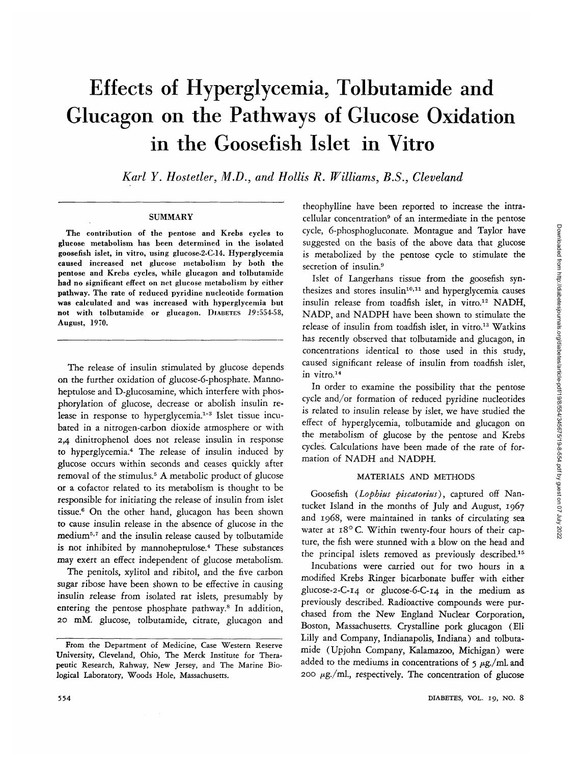# Effects of Hyperglycemia, Tolbutamide and Glucagon on the Pathways of Glucose Oxidation in the Goosefish Islet in Vitro

*Karl Y. Hosteller, M.D., and Hollis R. Williams, B.S., Cleveland*

## **SUMMARY**

The contribution of the pentose and Krebs cycles to glucose metabolism has been determined in the isolated goosefish islet, in vitro, using glucose-2-C-14. Hyperglycemia caused increased net glucose metabolism by both the pentose and Krebs cycles, while glucagon and tolbutamide had no significant effect on net glucose metabolism by either pathway. The rate of reduced pyridine nucleotide formation was calculated and was increased with hyperglycemia but not with tolbutamide or glucagon. DIABETES 19:554-58, August, 1970.

The release of insulin stimulated by glucose depends on the further oxidation of glucose-6-phosphate. Mannoheptulose and D-glucosamine, which interfere with phosphorylation of glucose, decrease or abolish insulin release in response to hyperglycemia.<sup>1-3</sup> Islet tissue incubated in a nitrogen-carbon dioxide atmosphere or with 2,4 dinitrophenol does not release insulin in response to hyperglycemia.4 The release of insulin induced by glucose occurs within seconds and ceases quickly after removal of the stimulus.<sup>5</sup> A metabolic product of glucose or a cofactor related to its metabolism is thought to be responsible for initiating the release of insulin from islet tissue.6 On the other hand, glucagon has been shown to cause insulin release in the absence of glucose in the medium<sup>5,7</sup> and the insulin release caused by tolbutamide is not inhibited by mannoheptulose.<sup>4</sup> These substances may exert an effect independent of glucose metabolism.

The penitols, xylitol and ribitol, and the five carbon sugar ribose have been shown to be effective in causing insulin release from isolated rat islets, presumably by entering the pentose phosphate pathway.<sup>8</sup> In addition, 20 mM. glucose, tolbutamide, citrate, glucagon and

theophylline have been reported to increase the intracellular concentration<sup>9</sup> of an intermediate in the pentose cycle, 6-phosphogluconate. Montague and Taylor have suggested on the basis of the above data that glucose is metabolized by the pentose cycle to stimulate the secretion of insulin.<sup>9</sup>

Islet of Langerhans tissue from the goosefish synthesizes and stores insulin<sup>10,11</sup> and hyperglycemia causes insulin release from toadfish islet, in vitro.<sup>12</sup> NADH, NADP, and NADPH have been shown to stimulate the release of insulin from toadfish islet, in vitro.<sup>13</sup> Watkins has recently observed that tolbutamide and glucagon, in concentrations identical to those used in this study, caused significant release of insulin from toadfish islet, in vitro.<sup>14</sup>

In order to examine the possibility that the pentose cycle and/or formation of reduced pyridine nucleotides is related to insulin release by islet, we have studied the effect of hyperglycemia, tolbutamide and glucagon on the metabolism of glucose by the pentose and Krebs cycles. Calculations have been made of the rate of formation of NADH and NADPH.

# MATERIALS AND METHODS

Goosefish *(Lophius piscatorius),* captured off Nantucket Island in the months of July and August, 1967 and 1968, were maintained in tanks of circulating sea water at 18°C. Within twenty-four hours of their capture, the fish were stunned with a blow on the head and the principal islets removed as previously described.15

Incubations were carried out for two hours in a modified Krebs Ringer bicarbonate buffer with either glucose-2-C-i4 or glucose-6-C-i4 in the medium as previously described. Radioactive compounds were purchased from the New England Nuclear Corporation, Boston, Massachusetts. Crystalline pork glucagon (Eli Lilly and Company, Indianapolis, Indiana) and tolbutamide (Upjohn Company, Kalamazoo, Michigan) were added to the mediums in concentrations of  $\frac{1}{2} \mu$ g./ml. and 200  $\mu$ g./ml., respectively. The concentration of glucose

From the Department of Medicine, Case Western Reserve University, Cleveland, Ohio, The Merck Institute for Therapeutic Research, Rahway, New Jersey, and The Marine Biological Laboratory, Woods Hole, Massachusetts.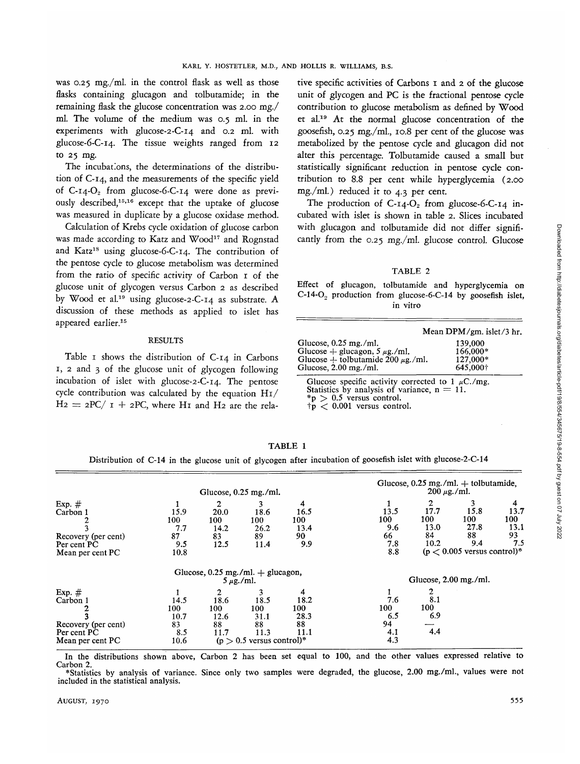was 0.25 mg./ml. in the control flask as well as those flasks containing glucagon and tolbutamide; in the remaining flask the glucose concentration was 2.00 mg./ ml. The volume of the medium was 0.5 ml. in the experiments with glucose-2-C-i4 and 0.2 ml. with glucose-6-C-i4. The tissue weights ranged from 12 to 25 mg.

The incubations, the determinations of the distribution of C-14, and the measurements of the specific yield of C-14-O<sub>2</sub> from glucose-6-C-14 were done as previously described,<sup>15,16</sup> except that the uptake of glucose was measured in duplicate by a glucose oxidase method.

Calculation of Krebs cycle oxidation of glucose carbon was made according to Katz and Wood<sup>17</sup> and Rognstad and Katz<sup>18</sup> using glucose-6-C-14. The contribution of the pentose cycle to glucose metabolism was determined from the ratio of specific activity of Carbon 1 of the glucose unit of glycogen versus Carbon 2 as described by Wood et al.<sup>19</sup> using glucose-2-C-14 as substrate. A discussion of these methods as applied to islet has appeared earlier.<sup>15</sup>

#### RESULTS

Table I shows the distribution of C-14 in Carbons 1, 2 and 3 of the glucose unit of glycogen following incubation of islet with glucose-2-C-14. The pentose cycle contribution was calculated by the equation H1/  $H_2 = 2PC/ I + 2PC$ , where H<sub>I</sub> and H<sub>2</sub> are the relative specific activities of Carbons 1 and 2 of the glucose unit of glycogen and PC is the fractional pentose cycle contribution to glucose metabolism as defined by Wood et al.<sup>19</sup> At the normal glucose concentration of the goosefish, 0.25 mg./ml., 10.8 per cent of the glucose was metabolized by the pentose cycle and glucagon did not alter this percentage. Tolbutamide caused a small but statistically significant reduction in pentose cycle contribution to 8.8 per cent while hyperglycemia (2.00 mg./ml.) reduced it to 4.3 per cent.

The production of  $C-14-C_2$  from glucose-6-C-14 incubated with islet is shown in table 2. Slices incubated with glucagon and tolbutamide did not differ significantly from the 0.25 mg./ml. glucose control. Glucose

#### TABLE 2

Effect of glucagon, tolbutamide and hyperglycemia on  $C-14-O<sub>2</sub>$  production from glucose-6-C-14 by goosefish islet, in vitro

|                                                                                     | Mean DPM/gm. islet/3 hr. |
|-------------------------------------------------------------------------------------|--------------------------|
| Glucose, $0.25$ mg./ml.<br>Glucose + glucagon, $5 \mu$ g./ml.                       | 139,000<br>166,000*      |
| Glucose + tolbutamide 200 $\mu$ g./ml.                                              | 127,000*                 |
| Glucose, $2.00$ mg./ml.<br>Glucose specific activity corrected to $1 \text{ m}C/mg$ | 645,000+                 |

Statistics by analysis of variance, n = 11.<br>\*p > 0.5 versus control.<br> $\uparrow p$  < 0.001 versus control.

# TABLE 1

Distribution of C-14 in the glucose unit of glycogen after incubation of goosefish islet with glucose-2-C-14

|                                                                                |                                          |                                        | Glucose, $0.25$ mg./ml.                                          |                                        | Glucose, $0.25$ mg./ml. $+$ tolbutamide,<br>$200 \mu$ g./ml. |                                                   |                                                                        |                                       |  |
|--------------------------------------------------------------------------------|------------------------------------------|----------------------------------------|------------------------------------------------------------------|----------------------------------------|--------------------------------------------------------------|---------------------------------------------------|------------------------------------------------------------------------|---------------------------------------|--|
| Exp. $#$<br>Carbon 1<br>Recovery (per cent)<br>Per cent PC<br>Mean per cent PC | 15.9<br>100<br>7.7<br>87<br>9.5<br>10.8  | 2<br>20.0<br>100<br>14.2<br>83<br>12.5 | 3<br>18.6<br>100<br>26.2<br>89<br>11.4                           | 4<br>16.5<br>100<br>13.4<br>90<br>9.9  | 13.5<br>100<br>9.6<br>66<br>7.8<br>8.8                       | $\mathbf{2}$<br>17.7<br>100<br>13.0<br>84<br>10.2 | 3<br>15.8<br>100<br>27.8<br>88<br>9.4<br>$(p < 0.005$ versus control)* | 4<br>13.7<br>100<br>13.1<br>93<br>7.5 |  |
|                                                                                |                                          |                                        | Glucose, $0.25$ mg./ml. $+$ glucagon,<br>$5 \mu g$ ./ml.         |                                        |                                                              | Glucose, $2.00$ mg./ml.                           |                                                                        |                                       |  |
| Exp. $#$<br>Carbon 1<br>Recovery (per cent)<br>Per cent PC<br>Mean per cent PC | 14.5<br>100<br>10.7<br>83<br>8.5<br>10.6 | 2<br>18.6<br>100<br>12.6<br>88<br>11.7 | 18.5<br>100<br>31.1<br>88<br>11.3<br>$(p > 0.5$ versus control)* | 4<br>18.2<br>100<br>28.3<br>88<br>11.1 | 7.6<br>100<br>6.5<br>94<br>4.1<br>4.3                        | 8.1<br>100<br>6.9<br>4.4                          |                                                                        |                                       |  |

In the distributions shown above, Carbon 2 has been set equal to 100, and the other values expressed relative to Carbon 2.<br>
\*Statistics by analysis of variance. Since only two samples were degraded, the glucose, 2.00 mg./m

included in the statistical analysis.

Downloaded from http://diabetesjournals.org/diabetes/article-pdf/19/8/554/345675/19-8-554.pdf by guest on 07 July 2022 Downloaded from http://diabetesjournals.org/diabetes/article-pdf/19/8/554/345675/19-8-554.pdf by guest on 07 July 2022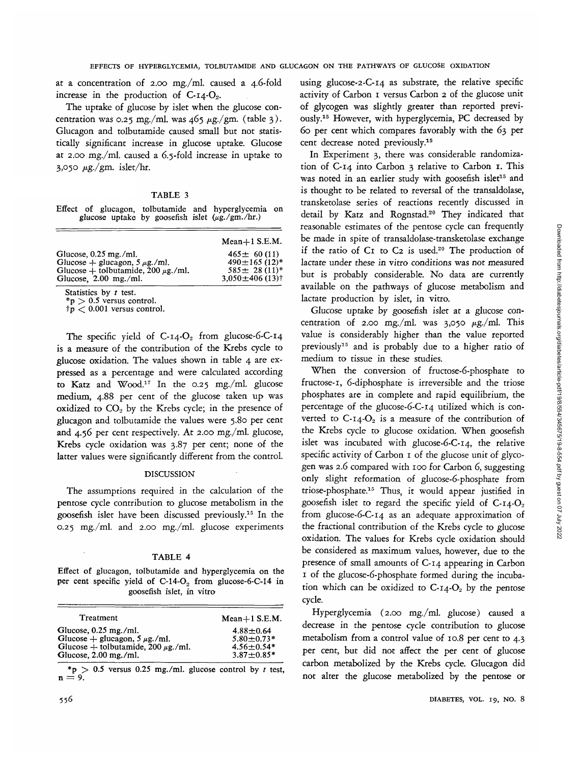at a concentration of 2.00 mg./ml. caused a 4.6-fold increase in the production of  $C$ -14- $O_2$ .

The uptake of glucose by islet when the glucose concentration was 0.25 mg./ml. was  $465 \mu g/gm$ . (table 3). Glucagon and tolbutamide caused small but not statistically significant increase in glucose uptake. Glucose at 2.00 mg./ml. caused a 6.5-fold increase in uptake to 3,050  $\mu$ g./gm. islet/hr.

TABLE 3

|  |  |  | Effect of glucagon, tolbutamide and hyperglycemia on |  |
|--|--|--|------------------------------------------------------|--|
|  |  |  | glucose uptake by goosefish islet $(\mu g./gm./hr.)$ |  |

|                                                                                                                                     | $Mean+1$ S.E.M.                                                                                                |
|-------------------------------------------------------------------------------------------------------------------------------------|----------------------------------------------------------------------------------------------------------------|
| Glucose, $0.25$ mg./ml.<br>Glucose + glucagon, $5 \mu$ g./ml.<br>Glucose + tolbutamide, $200 \mu$ g./ml.<br>Glucose, $2.00$ mg./ml. | $465 \pm 60(11)$<br>$490 \pm 165$ (12)*<br>$585 \pm 28$ (11) <sup>*</sup><br>$3.050 \pm 406$ (13) <sup>†</sup> |
| $Chatiction$ $hr + font$                                                                                                            |                                                                                                                |

Statistics by *t* test.<br>\*p > 0.5 versus control.<br> $\dot{\tau}$ p < 0.001 versus control.

The specific yield of  $C$ -14- $O_2$  from glucose-6-C-14 is a measure of the contribution of the Krebs cycle to glucose oxidation. The values shown in table 4 are expressed as a percentage and were calculated according to Katz and Wood.<sup>17</sup> In the 0.25 mg./ml. glucose medium, 4.88 per cent of the glucose taken up was oxidized to  $CO<sub>2</sub>$  by the Krebs cycle; in the presence of glucagon and tolbutamide the values were 5.80 per cent and 4.56 per cent respectively. At 2.00 mg./ml. glucose, Krebs cycle oxidation was 3.87 per cent; none of the latter values were significantly different from the control.

#### DISCUSSION

The assumptions required in the calculation of the pentose cycle contribution to glucose metabolism in the goosefish islet have been discussed previously.15 In the 0.25 mg./ml. and 2.00 mg./ml. glucose experiments

# TABLE 4

Effect of glucagon, tolbutamide and hyperglycemia on the per cent specific yield of  $C-14-O<sub>2</sub>$  from glucose-6-C-14 in goosefish islet, in vitro

| Treatment                                                                                                                             | $Mean+1$ S.E.M.                                                         |
|---------------------------------------------------------------------------------------------------------------------------------------|-------------------------------------------------------------------------|
| Glucose, $0.25$ mg./ml.<br>Glucose + glucagon, $5 \mu g$ ./ml.<br>Glucose + tolbutamide, $200 \mu g$ ./ml.<br>Glucose, $2.00$ mg./ml. | $4.88 \pm 0.64$<br>$5.80 + 0.73*$<br>$4.56 \pm 0.54*$<br>$3.87 + 0.85*$ |

\*p > 0.5 versus 0.25 mg./ml. glucose control by *t* test,  $n = 9$ .

using glucose-2-C-i4 as substrate, the relative specific activity of Carbon 1 versus Carbon 2 of the glucose unit of glycogen was slightly greater than reported previously.15 However, with hyperglycemia, PC decreased by 60 per cent which compares favorably with the 63 per cent decrease noted previously.15

In Experiment 3, there was considerable randomization of C-14 into Carbon 3 relative to Carbon 1. This was noted in an earlier study with goosefish islet<sup>15</sup> and is thought to be related to reversal of the transaldolase, transketolase series of reactions recently discussed in detail by Katz and Rognstad.<sup>20</sup> They indicated that reasonable estimates of the pentose cycle can frequently be made in spite of transaldolase-transketolase exchange if the ratio of C1 to C2 is used.<sup>20</sup> The production of lactate under these in vitro conditions was not measured but is probably considerable. No data are currently available on the pathways of glucose metabolism and lactate production by islet, in vitro.

Glucose uptake by goosefish islet at a glucose concentration of 2.00 mg./ml. was  $3,050 \mu g$ ./ml. This value is considerably higher than the value reported previously<sup>15</sup> and is probably due to a higher ratio of medium to tissue in these studies.

When the conversion of fructose-6-phosphate to fructose-1, 6-diphosphate is irreversible and the triose phosphates are in complete and rapid equilibrium, the percentage of the glucose-6-C-i4 utilized which is converted to  $C-14-C_2$  is a measure of the contribution of the Krebs cycle to glucose oxidation. When goosefish islet was incubated with glucose-6-C-14, the relative specific activity of Carbon 1 of the glucose unit of glycogen was 2.6 compared with 100 for Carbon 6, suggesting only slight reformation of glucose-6-phosphate from triose-phosphate.15 Thus, it would appear justified in goosefish islet to regard the specific yield of  $C$ -14- $O_2$ from glucose-6-C-i4 as an adequate approximation of the fractional contribution of the Krebs cycle to glucose oxidation. The values for Krebs cycle oxidation should be considered as maximum values, however, due to the presence of small amounts of C-14 appearing in Carbon 1 of the glucose-6-phosphate formed during the incubation which can be oxidized to  $C$ -14- $O_2$  by the pentose cycle.

Hyperglycemia (2.00 mg./ml. glucose) caused a decrease in the pentose cycle contribution to glucose metabolism from a control value of 10.8 per cent to 4.3 per cent, but did not affect the per cent of glucose carbon metabolized by the Krebs cycle. Glucagon did not alter the glucose metabolized by the pentose or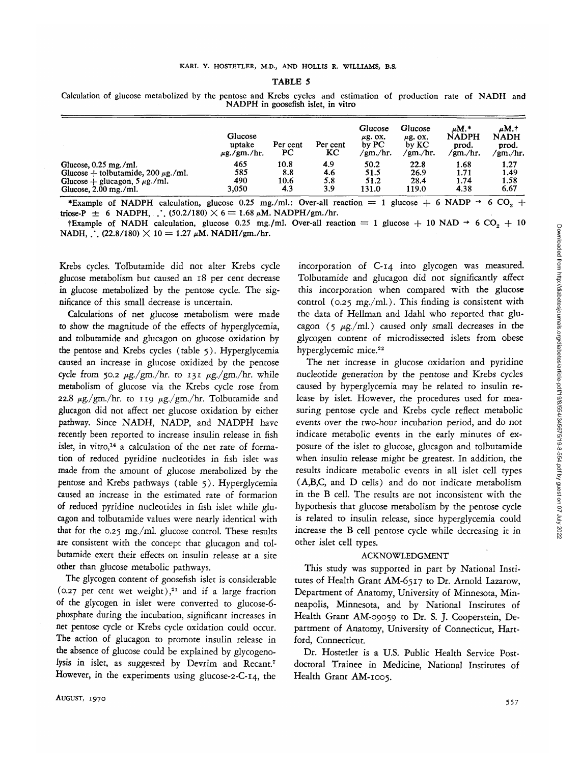#### TABLE 5

Calculation of glucose metabolized by the pentose and Krebs cycles and estimation of production rate of NADH and NADPH in goosefish islet, in vitro

|                                         | Glucose<br>uptake<br>$\mu$ g./gm./hr. | Per cent<br>PC | Per cent<br>KC | Glucose<br>$\mu$ g. OX.<br>by PC<br>/gm./hr. | Glucose<br>$\mu$ g. OX.<br>by KC<br>/gm./hr. | $\mu$ M.*<br><b>NADPH</b><br>prod.<br>/gm./hr. | uM.†<br><b>NADH</b><br>prod.<br>/gm./hr. |
|-----------------------------------------|---------------------------------------|----------------|----------------|----------------------------------------------|----------------------------------------------|------------------------------------------------|------------------------------------------|
| Glucose, $0.25$ mg./ml.                 | 465                                   | 10.8           | 4.9            | 50.2                                         | 22.8                                         | 1.68                                           | 1.27                                     |
| Glucose + tolbutamide, $200 \mu$ g./ml. | 585                                   | 8.8            | 4.6            | 51.5                                         | 26.9                                         | 1.71                                           | 1.49                                     |
| Glucose + glucagon, $5 \mu$ g./ml.      | 490                                   | 10.6           | 5.8            | 51.2                                         | 28.4                                         | 1.74                                           | 1.58                                     |
| Glucose, $2.00$ mg./ml.                 | 3,050                                 | 4.3            | 3.9            | 131.0                                        | 119.0                                        | 4.38                                           | 6.67                                     |

\*Example of NADPH calculation, glucose 0.25 mg./ml.: Over-all reaction = 1 glucose + 6 NADP  $\rightarrow$  6 CO<sub>2</sub> + triose-P  $\pm$  6 NADPH, ... (50.2/180)  $\times$  6 = 1.68  $\mu$ M. NADPH/gm./hr.

tExample of NADH calculation, glucose 0.25 mg./ml. Over-all reaction = 1 glucose + 10 NAD  $\rightarrow$  6 CO<sub>2</sub> + 10 NADH, ... (22.8/180)  $\times$  10 = 1.27  $\mu$ M. NADH/gm./hr.

Krebs cycles. Tolbutamide did not alter Krebs cycle glucose metabolism but caused an 18 per cent decrease in glucose metabolized by the pentose cycle. The significance of this small decrease is uncertain.

Calculations of net glucose metabolism were made to show the magnitude of the effects of hyperglycemia, and tolbutamide and glucagon on glucose oxidation by the pentose and Krebs cycles (table 5). Hyperglycemia caused an increase in glucose oxidized by the pentose cycle from 50.2  $\mu$ g./gm./hr. to 131  $\mu$ g./gm./hr. while metabolism of glucose via the Krebs cycle rose from 22.8  $\mu$ g./gm./hr. to 119  $\mu$ g./gm./hr. Tolbutamide and glucagon did not affect net glucose oxidation by either pathway. Since NADH, NADP, and NADPH have recently been reported to increase insulin release in fish islet, in vitro,<sup>14</sup> a calculation of the net rate of formation of reduced pyridine nucleotides in fish islet was made from the amount of glucose metabolized by the pentose and Krebs pathways (table 5). Hyperglycemia caused an increase in the estimated rate of formation of reduced pyridine nucleotides in fish islet while glucagon and tolbutamide values were nearly identical with that for the 0.25 mg./ml. glucose control. These results are consistent with the concept that glucagon and tolbutamide exert their effects on insulin release at a site other than glucose metabolic pathways.

The glycogen content of goosefish islet is considerable (0.27 per cent wet weight), $21$  and if a large fraction of the glycogen in islet were converted to glucose-6 phosphate during the incubation, significant increases in net pentose cycle or Krebs cycle oxidation could occur. The action of glucagon to promote insulin release in the absence of glucose could be explained by glycogenolysis in islet, as suggested by Devrim and Recant.<sup>7</sup> However, in the experiments using glucose-2-C-14, the

incorporation of C-14 into glycogen was measured. Tolbutamide and glucagon did not significantly affect this incorporation when compared with the glucose control (0.25 mg./ml.). This finding is consistent with the data of Hellman and Idahl who reported that glucagon (5  $\mu$ g./ml.) caused only small decreases in the glycogen content of microdissected islets from obese hyperglycemic mice.<sup>22</sup>

The net increase in glucose oxidation and pyridine nucleotide generation by the pentose and Krebs cycles caused by hyperglycemia may be related to insulin release by islet. However, the procedures used for measuring pentose cycle and Krebs cycle reflect metabolic events over the two-hour incubation period, and do not indicate metabolic events in the early minutes of exposure of the islet to glucose, glucagon and tolbutamide when insulin release might be greatest. In addition, the results indicate metabolic events in all islet cell types (A,B,C, and D cells) and do not indicate metabolism in the B cell. The results are not inconsistent with the hypothesis that glucose metabolism by the pentose cycle is related to insulin release, since hyperglycemia could increase the B cell pentose cycle while decreasing it in other islet cell types.

#### ACKNOWLEDGMENT

This study was supported in part by National Institutes of Health Grant AM-6517 to Dr. Arnold Lazarow, Department of Anatomy, University of Minnesota, Minneapolis, Minnesota, and by National Institutes of Health Grant AM-09059 to Dr. S. J. Cooperstein, Department of Anatomy, University of Connecticut, Hartford, Connecticut.

Dr. Hostetler is a U.S. Public Health Service Postdoctoral Trainee in Medicine, National Institutes of Health Grant AM-1005.